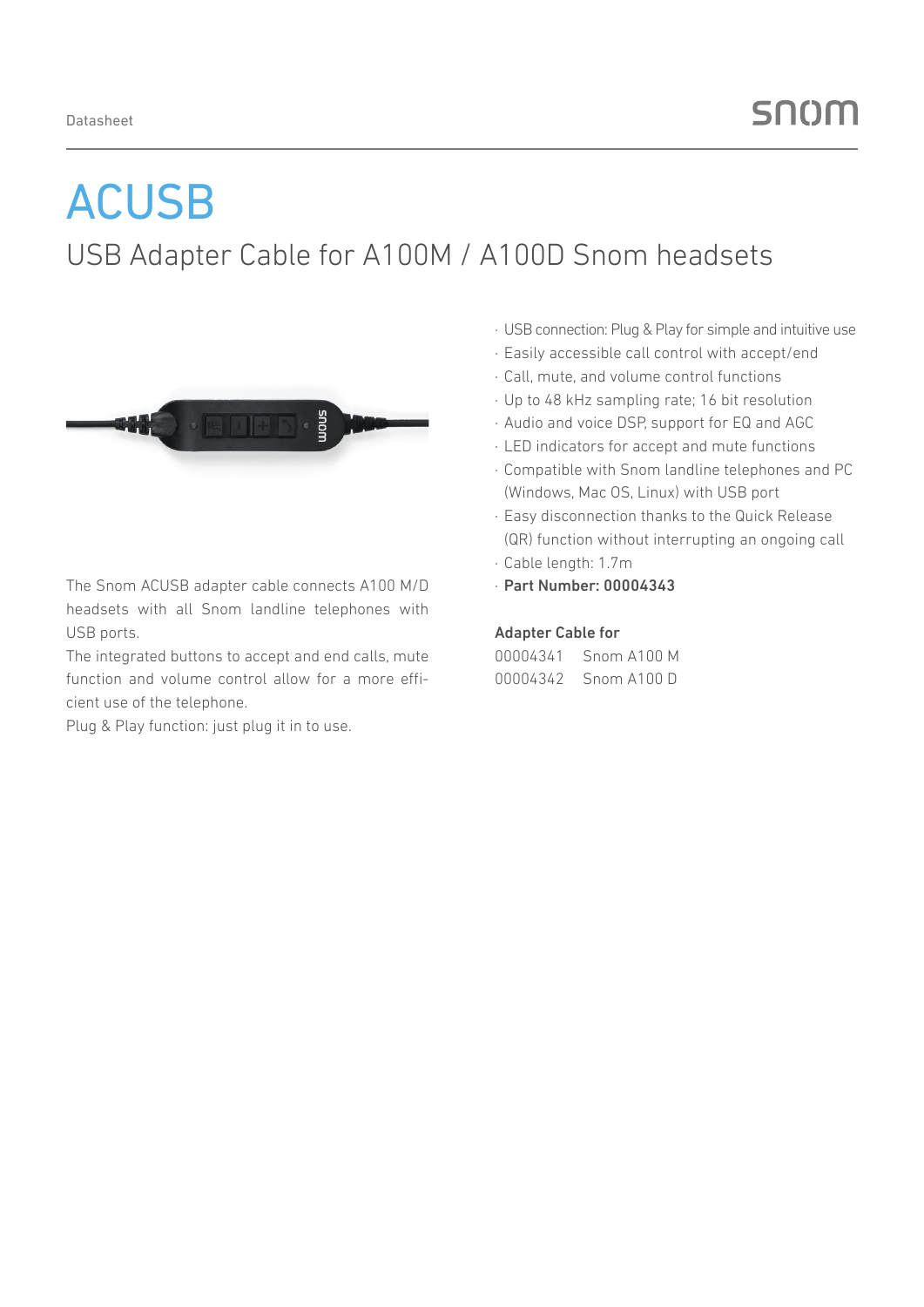# ACUSB

### USB Adapter Cable for A100M / A100D Snom headsets



The Snom ACUSB adapter cable connects A100 M/D headsets with all Snom landline telephones with USB ports.

The integrated buttons to accept and end calls, mute function and volume control allow for a more efficient use of the telephone.

Plug & Play function: just plug it in to use.

- · USB connection: Plug & Play for simple and intuitive use
- · Easily accessible call control with accept/end
- · Call, mute, and volume control functions
- · Up to 48 kHz sampling rate; 16 bit resolution
- · Audio and voice DSP, support for EQ and AGC
- · LED indicators for accept and mute functions
- · Compatible with Snom landline telephones and PC (Windows, Mac OS, Linux) with USB port
- · Easy disconnection thanks to the Quick Release (QR) function without interrupting an ongoing call
- · Cable length: 1.7m
- · Part Number: 00004343

### Adapter Cable for

| 00004341 | Snom A100 M |  |
|----------|-------------|--|
| 00004342 | Snom A100 D |  |